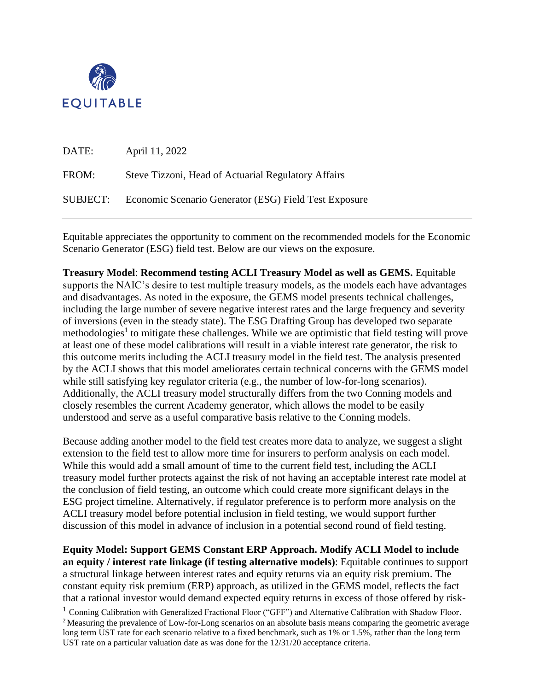

| DATE:    | April 11, 2022                                        |
|----------|-------------------------------------------------------|
| FROM:    | Steve Tizzoni, Head of Actuarial Regulatory Affairs   |
| SUBJECT: | Economic Scenario Generator (ESG) Field Test Exposure |

Equitable appreciates the opportunity to comment on the recommended models for the Economic Scenario Generator (ESG) field test. Below are our views on the exposure.

**Treasury Model**: **Recommend testing ACLI Treasury Model as well as GEMS.** Equitable supports the NAIC's desire to test multiple treasury models, as the models each have advantages and disadvantages. As noted in the exposure, the GEMS model presents technical challenges, including the large number of severe negative interest rates and the large frequency and severity of inversions (even in the steady state). The ESG Drafting Group has developed two separate methodologies<sup>1</sup> to mitigate these challenges. While we are optimistic that field testing will prove at least one of these model calibrations will result in a viable interest rate generator, the risk to this outcome merits including the ACLI treasury model in the field test. The analysis presented by the ACLI shows that this model ameliorates certain technical concerns with the GEMS model while still satisfying key regulator criteria (e.g., the number of low-for-long scenarios). Additionally, the ACLI treasury model structurally differs from the two Conning models and closely resembles the current Academy generator, which allows the model to be easily understood and serve as a useful comparative basis relative to the Conning models.

Because adding another model to the field test creates more data to analyze, we suggest a slight extension to the field test to allow more time for insurers to perform analysis on each model. While this would add a small amount of time to the current field test, including the ACLI treasury model further protects against the risk of not having an acceptable interest rate model at the conclusion of field testing, an outcome which could create more significant delays in the ESG project timeline. Alternatively, if regulator preference is to perform more analysis on the ACLI treasury model before potential inclusion in field testing, we would support further discussion of this model in advance of inclusion in a potential second round of field testing.

**Equity Model: Support GEMS Constant ERP Approach. Modify ACLI Model to include an equity / interest rate linkage (if testing alternative models)**: Equitable continues to support a structural linkage between interest rates and equity returns via an equity risk premium. The constant equity risk premium (ERP) approach, as utilized in the GEMS model, reflects the fact that a rational investor would demand expected equity returns in excess of those offered by risk-

 $1 \text{ Conning }$  Calibration with Generalized Fractional Floor ("GFF") and Alternative Calibration with Shadow Floor. <sup>2</sup> Measuring the prevalence of Low-for-Long scenarios on an absolute basis means comparing the geometric average long term UST rate for each scenario relative to a fixed benchmark, such as 1% or 1.5%, rather than the long term UST rate on a particular valuation date as was done for the 12/31/20 acceptance criteria.